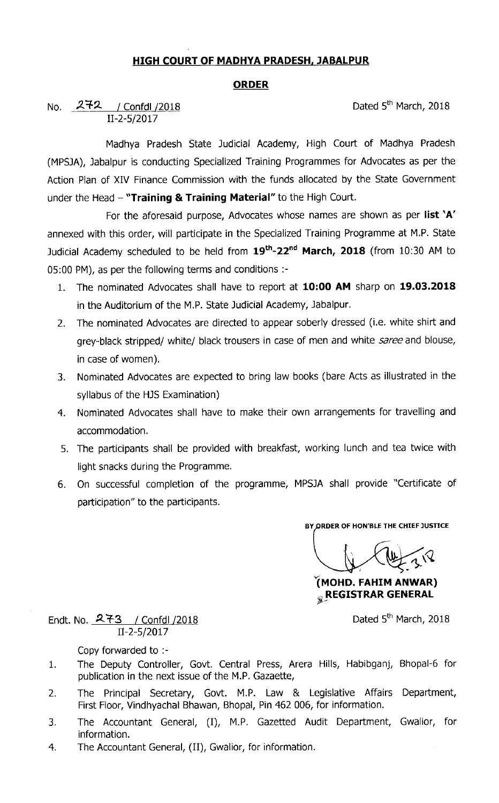## HIGH COURT 0F MADHYA PRADESH, JABALPUR

## **ORDER**

No. 272 / Confdl /2018 11-2-5/2017

Dated 5<sup>th</sup> March, 2018

Madhya Pradesh State Judicial Academy, High Court of Madhya Pradesh (MPSJA), Jabalpur is conducting Specialized Training Programmes for Advocates as per the Action Plan of XIV Finance Commission with the funds allocated by the State Government under the Head  $-$  "Training & Training Material" to the High Court.

For the aforesaid purpose, Advocates whose names are shown as per list 'A' annexed with this order, will participate in the Specialized Training Programme at M.P. State Judicial Academy scheduled to be held from  $19^{th}$ -22<sup>nd</sup> March, 2018 (from 10:30 AM to 05:00 PM), as per the following terms and conditions :-

- 1. The nominated Advocates shall have to report at 10:00 AM sharp on 19.03.2018 in the Auditorium of the M.P. State Judicial Academy, Jabalpur.
- 2. The nominated Advocates are directed to appear soberly dressed (i.e. white shirt and grey-black stripped/ white/ black trousers in case of men and white saree and blouse, in case of women).
- 3. Nominated Advocates are expected to bring law books (bare Acts as illustrated in the syllabus of the HJS Examination)
- 4. Nominated Advocates shall have to make their own arrangements for travelling and accommodation.
- 5. The participants shall be provided with breakfast, working lunch and tea twice with light snacks during the Programme.
- 6. On successful completion of the programme, MPSJA shall provide ``Certificate of participation" to the participants.

BY ORDER OF HON'BLE THE CHIEF JUSTICE

Y(MOHD. FAHIM ANWAR) **REGISTRAR GENERAL** 

Dated 5<sup>th</sup> March, 2018

Endt. No. 273 / Confdl /2018 11-2-5/2017

Copy forwarded to :-

- The Deputy Controller, Govt. Central Press, Arera Hills, Habibganj, Bhopal-6 for  $1.$ publication in the next issue of the M.P. Gazaette,
- The Principal Secretary, Govt. M.P. Law & Legislative Affairs Department,  $2.$ First Floor, Vindhyachal Bhawan, Bhopal, Pin 462 006, for information.
- 3. The Accountant General, (I), M.P. Gazetted Audit Department, Gwalior, for information.
- 4. The Accountant General, (11), Gwalior, for information.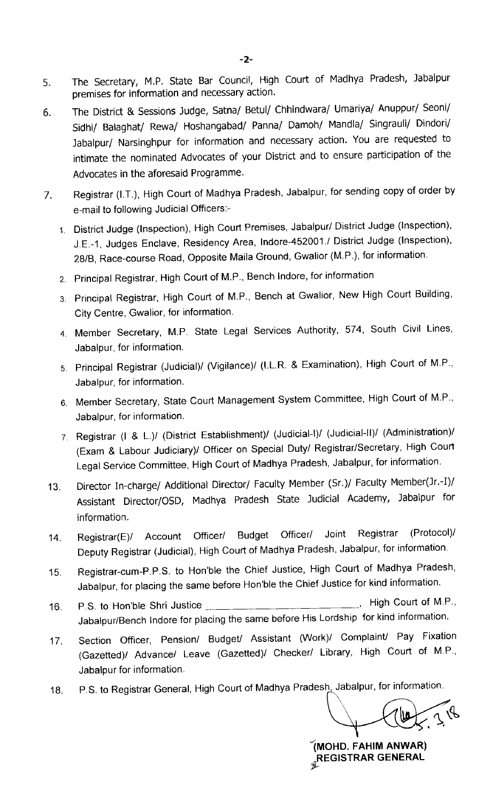- 5. The Secretary, M.P. State Bar Council, High Court of Madhya Pradesh, Jabalpur premises for information and necessary action.
- The District & Sessions Judge, Satna/ Betul/ Chhindwara/ Umariya/ Anuppur/ Seoni/ 6. Sidhi/ Balaghat/ Rewa/ Hoshangabad/ Panna/ Damoh/ Mandla/ Singrauli/ Dindori/ Jabalpur/ Narsinghpur for information and necessary action. You are requested to intimate the nominated Advocates of your District and to ensure participation of the Advocates in the aforesaid Programme.
- 7. Registrar (I.T.), High court of Madhya pradesh, Jabalpur, forsending copy of order by e-mail to following Judicial Offlcers:-
	- 1. District Judge (Inspection), High Court Premises, Jabalpur/ District Judge (Inspection), J E.-1, Judges Enclave, Residency Area, lndore-452001./ District Judge (Inspection), 28/B, Race-course Road, Opposite Maila Ground, Gwalior (M.P.), for information.
	- 2. Principal Registrar, High Court of M.P., Bench Indore, for information
	- 3 Principal Registrar, High Court of M.P., Bench at Gwalior, New High Court Building, City Centre, Gwalior, for information.
	- 4. Member Secretary, M.P. State Legal Services Authority, 574, South Civil Lines, Jabalpur, for information.
	- 5 Principal Registrar (Judicial)/ (Vigilance)/ (I.L.R. & Examlnatlon), High Court of M.P., Jabalpur, for information.
	- 6 Member Secretary, State Court Management System Committee, High Court of M.P., Jabalpur, for information.
	- 7 Registrar (I & L.)/ (District Establishment)/ (Judicial-I)/ (Judicial-Il)/ (Administration)/ (Exam & Labour Judiciary)/ Officer on Special Duty/ Registrar/Secretary, High Court Legal Service Committee, High Court of Madhya Pradesh, Jabalpur, for information.
- 13. Director In-charge/ Additional Director/ Faculty Member (Sr.)/ Faculty Member(Jr.-I)/ Assistant Director/OSD, Madhya Pradesh State Judicial Academy, Jabalpur for information.
- 14. Registrar(E)/ Account Officer/ Budget Officer/ Joint Registrar (Protocol)/ Deputy Registrar (Judlcial), High Court of Madhya Pradesh, Jabalpur, for information
- 15. Registrar-cum-P.P.S. to Hon'ble the Chief Justice, High Court of Madhya Pradesh, Jabalpur, for placing the same before Hon'ble the Chief Justice for kind information.
- 16. P.S. to Hon'ble Shri Justice **High Court of M.P.**, Jabalpur/Bench lndore for placing the same before His Lordship for kind information.
- 17. Section Officer, Pension/ Budget/ Assistant (Work)/ Complaint/ Pay Fixation (Gazetted)/ Advance/ Leave (Gazetted)/ Checker/ Library, High Court of M.P., Jabalpur for information.
- 18. P.S. to Registrar General, High Court of Madhya Pradesh, Jabalpur, for information.

'(MOHD. FAHIM ANWAR) **REGISTRAR GENERAL**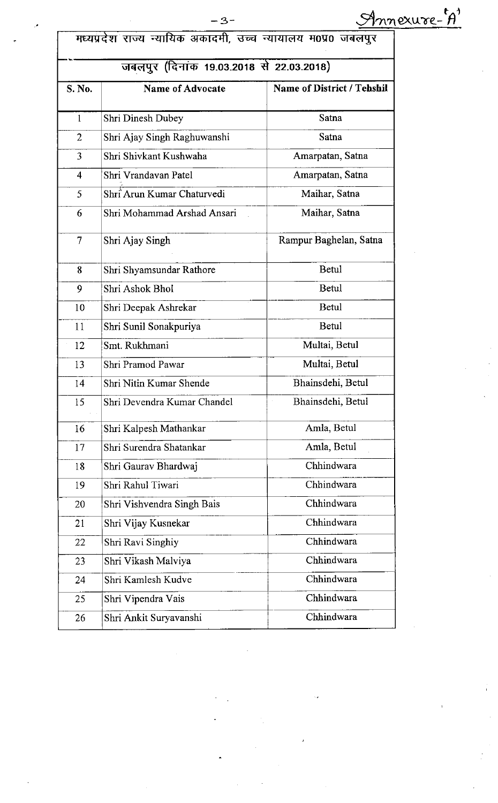| मध्यप्रदेश राज्य न्यायिक अकादमी, उच्च न्यायालय म0प्र0 जबलपुर |  |  |  |  |
|--------------------------------------------------------------|--|--|--|--|
|                                                              |  |  |  |  |

## <u>जबलपुर (दिनांक 19.03.2018 से 22.03.2018)</u>

| S. No.         | <b>Name of Advocate</b>     | <b>Name of District / Tehshil</b> |
|----------------|-----------------------------|-----------------------------------|
| $\mathbf{1}$   | Shri Dinesh Dubey           | Satna                             |
| $\overline{2}$ | Shri Ajay Singh Raghuwanshi | Satna                             |
| 3              | Shri Shivkant Kushwaha      | Amarpatan, Satna                  |
| 4              | Shri Vrandavan Patel        | Amarpatan, Satna                  |
| 5              | Shri Arun Kumar Chaturvedi  | Maihar, Satna                     |
| 6              | Shri Mohammad Arshad Ansari | Maihar, Satna                     |
| 7              | Shri Ajay Singh             | Rampur Baghelan, Satna            |
| 8              | Shri Shyamsundar Rathore    | Betul                             |
| 9              | Shri Ashok Bhol             | Betul                             |
| 10             | Shri Deepak Ashrekar        | Betul                             |
| 11             | Shri Sunil Sonakpuriya      | Betul                             |
| 12             | Smt. Rukhmani               | Multai, Betul                     |
| 13             | Shri Pramod Pawar           | Multai, Betul                     |
| 14             | Shri Nitin Kumar Shende     | Bhainsdehi, Betul                 |
| 15             | Shri Devendra Kumar Chandel | Bhainsdehi, Betul                 |
| 16             | Shri Kalpesh Mathankar      | Amla, Betul                       |
| 17             | Shri Surendra Shatankar     | Amla, Betul                       |
| 18             | Shri Gaurav Bhardwaj        | Chhindwara                        |
| 19             | Shri Rahul Tiwari           | Chhindwara                        |
| 20             | Shri Vishvendra Singh Bais  | Chhindwara                        |
| 21             | Shri Vijay Kusnekar         | Chhindwara                        |
| 22             | Shri Ravi Singhiy           | Chhindwara                        |
| 23             | Shri Vikash Malviya         | Chhindwara                        |
| 24             | Shri Kamlesh Kudve          | Chhindwara                        |
| 25             | Shri Vipendra Vais          | Chhindwara                        |
| 26             | Shri Ankit Suryavanshi      | Chhindwara                        |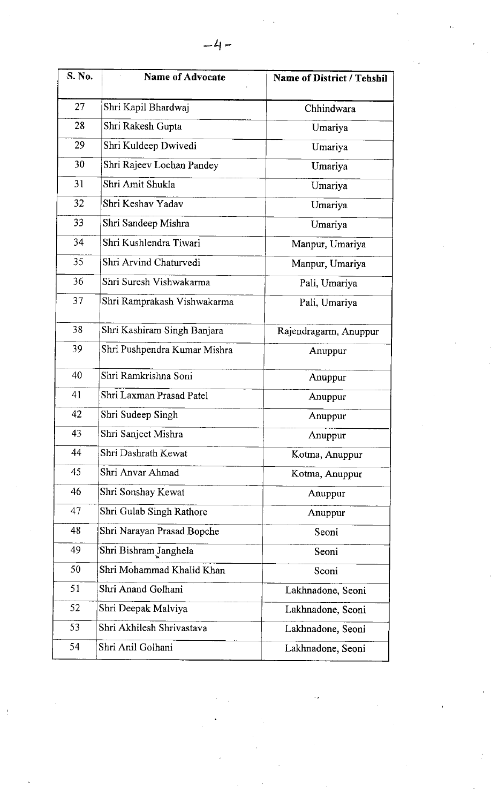| S. No. | <b>Name of Advocate</b>      | <b>Name of District / Tehshil</b> |
|--------|------------------------------|-----------------------------------|
| 27     | Shri Kapil Bhardwaj          | Chhindwara                        |
| 28     | Shri Rakesh Gupta            | Umariya                           |
| 29     | Shri Kuldeep Dwivedi         | Umariya                           |
| 30     | Shri Rajeev Lochan Pandey    | Umariya                           |
| 31     | Shri Amit Shukla             | Umariya                           |
| 32     | Shri Keshav Yadav            | Umariya                           |
| 33     | Shri Sandeep Mishra          | Umariya                           |
| 34     | Shri Kushlendra Tiwari       | Manpur, Umariya                   |
| 35     | Shri Arvind Chaturvedi       | Manpur, Umariya                   |
| 36     | Shri Suresh Vishwakarma      | Pali, Umariya                     |
| 37     | Shri Ramprakash Vishwakarma  | Pali, Umariya                     |
| 38     | Shri Kashiram Singh Banjara  | Rajendragarm, Anuppur             |
| 39     | Shri Pushpendra Kumar Mishra | Anuppur                           |
| 40     | Shri Ramkrishna Soni         | Anuppur                           |
| 41     | Shri Laxman Prasad Patel     | Anuppur                           |
| 42     | Shri Sudeep Singh            | Anuppur                           |
| 43     | Shri Sanjeet Mishra          | Anuppur                           |
| 44     | Shri Dashrath Kewat          | Kotma, Anuppur                    |
| 45     | Shri Anvar Ahmad             | Kotma, Anuppur                    |
| 46     | Shri Sonshay Kewat           | Anuppur                           |
| 47     | Shri Gulab Singh Rathore     | Anuppur                           |
| 48     | Shri Narayan Prasad Bopche   | Seoni                             |
| 49     | Shri Bishram Janghela        | Seoni                             |
| 50     | Shri Mohammad Khalid Khan    | Seoni                             |
| 51     | Shri Anand Golhani           | Lakhnadone, Seoni                 |
| 52     | Shri Deepak Malviya          | Lakhnadone, Seoni                 |
| 53     | Shri Akhilesh Shrivastava    | Lakhnadone, Seoni                 |
| 54     | Shri Anil Golhani            | Lakhnadone, Seoni                 |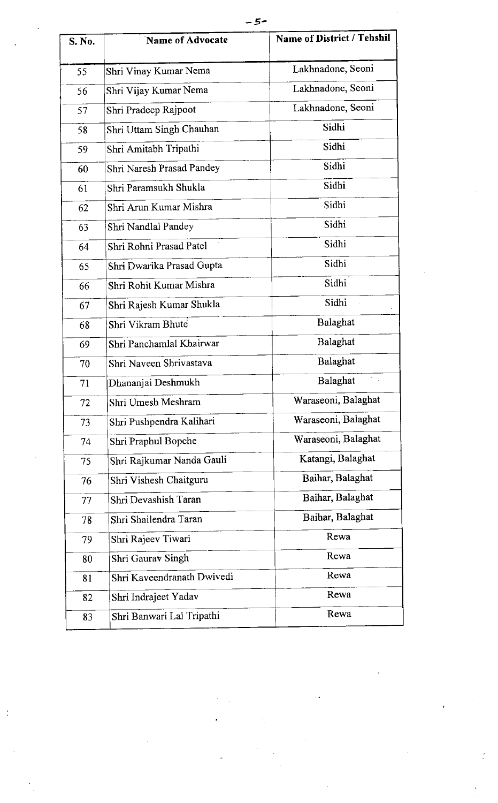| S. No. | Name of Advocate           | <b>Name of District / Tehshil</b> |
|--------|----------------------------|-----------------------------------|
| 55     | Shri Vinay Kumar Nema      | Lakhnadone, Seoni                 |
| 56     | Shri Vijay Kumar Nema      | Lakhnadone, Seoni                 |
| 57     | Shri Pradeep Rajpoot       | Lakhnadone, Seoni                 |
| 58     | Shri Uttam Singh Chauhan   | Sidhi                             |
| 59     | Shri Amitabh Tripathi      | Sidhi                             |
| 60     | Shri Naresh Prasad Pandey  | Sidhi                             |
| 61     | Shri Paramsukh Shukla      | Sidhi                             |
| 62     | Shri Arun Kumar Mishra     | Sidhi                             |
| 63     | Shri Nandlal Pandey        | Sidhi                             |
| 64     | Shri Rohni Prasad Patel    | Sidhi                             |
| 65     | Shri Dwarika Prasad Gupta  | Sidhi                             |
| 66     | Shri Rohit Kumar Mishra    | Sidhi                             |
| 67     | Shri Rajesh Kumar Shukla   | Sidhi                             |
| 68     | Shri Vikram Bhute          | Balaghat                          |
| 69     | Shri Panchamlal Khairwar   | Balaghat                          |
| 70     | Shri Naveen Shrivastava    | Balaghat                          |
| 71     | Dhananjai Deshmukh         | Balaghat                          |
| 72     | Shri Umesh Meshram         | Waraseoni, Balaghat               |
| 73     | Shri Pushpendra Kalihari   | Waraseoni, Balaghat               |
| 74     | Shri Praphul Bopche        | Waraseoni, Balaghat               |
| 75     | Shri Rajkumar Nanda Gauli  | Katangi, Balaghat                 |
| 76     | Shri Vishesh Chaitguru     | Baihar, Balaghat                  |
| 77     | Shri Devashish Taran       | Baihar, Balaghat                  |
| 78     | Shri Shailendra Taran      | Baihar, Balaghat                  |
| 79     | Shri Rajeev Tiwari         | Rewa                              |
| 80     | Shri Gaurav Singh          | Rewa                              |
| 81     | Shri Kaveendranath Dwivedi | Rewa                              |
| 82     | Shri Indrajeet Yadav       | Rewa                              |
| 83     | Shri Banwari Lal Tripathi  | Rewa                              |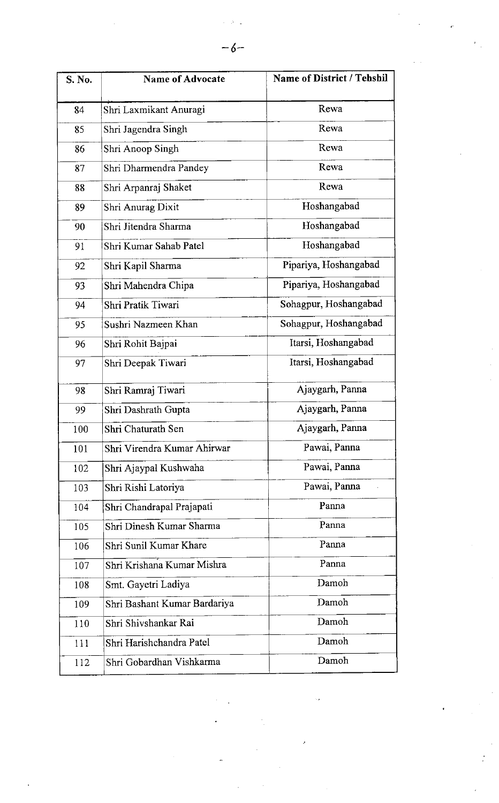| S. No. | <b>Name of Advocate</b>      | <b>Name of District / Tehshil</b> |
|--------|------------------------------|-----------------------------------|
| 84     | Shri Laxmikant Anuragi       | Rewa                              |
| 85     | Shri Jagendra Singh          | Rewa                              |
| 86     | Shri Anoop Singh             | Rewa                              |
| 87     | Shri Dharmendra Pandey       | Rewa                              |
| 88     | Shri Arpanraj Shaket         | Rewa                              |
| 89     | Shri Anurag Dixit            | Hoshangabad                       |
| 90     | Shri Jitendra Sharma         | Hoshangabad                       |
| 91     | Shri Kumar Sahab Patel       | Hoshangabad                       |
| 92     | Shri Kapil Sharma            | Pipariya, Hoshangabad             |
| 93     | Shri Mahendra Chipa          | Pipariya, Hoshangabad             |
| 94     | Shri Pratik Tiwari           | Sohagpur, Hoshangabad             |
| 95     | Sushri Nazmeen Khan          | Sohagpur, Hoshangabad             |
| 96     | Shri Rohit Bajpai            | Itarsi, Hoshangabad               |
| 97     | Shri Deepak Tiwari           | Itarsi, Hoshangabad               |
| 98     | Shri Ramraj Tiwari           | Ajaygarh, Panna                   |
| 99     | Shri Dashrath Gupta          | Ajaygarh, Panna                   |
| 100    | Shri Chaturath Sen           | Ajaygarh, Panna                   |
| 101    | Shri Virendra Kumar Ahirwar  | Pawai, Panna                      |
| 102    | Shri Ajaypal Kushwaha        | Pawai, Panna                      |
| 103    | Shri Rishi Latoriya          | Pawai, Panna                      |
| 104    | Shri Chandrapal Prajapati    | Panna                             |
| 105    | Shri Dinesh Kumar Sharma     | Panna                             |
| 106    | Shri Sunil Kumar Khare       | Panna                             |
| 107    | Shri Krishana Kumar Mishra   | Panna                             |
| 108    | Smt. Gayetri Ladiya          | Damoh                             |
| 109    | Shri Bashant Kumar Bardariya | Damoh                             |
| 110    | Shri Shivshankar Rai         | Damoh                             |
| 111    | Shri Harishchandra Patel     | Damoh                             |
| 112    | Shri Gobardhan Vishkarma     | Damoh                             |

 $\frac{1}{2}$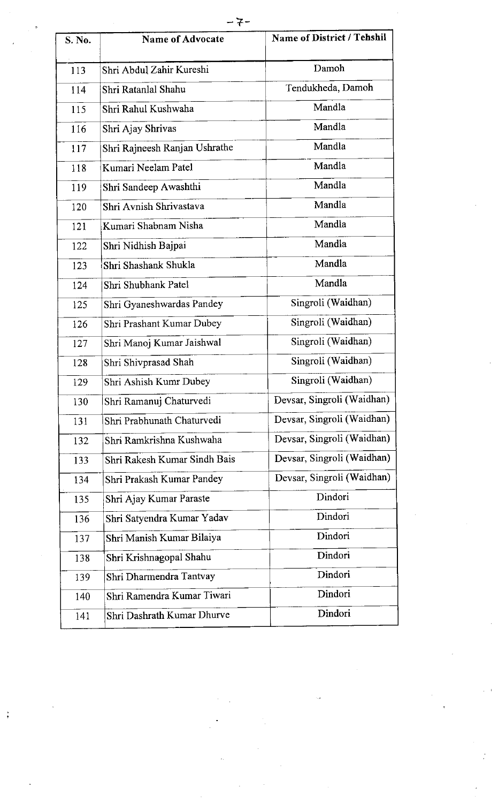| S. No. | <b>Name of Advocate</b>       | <b>Name of District / Tehshil</b> |
|--------|-------------------------------|-----------------------------------|
| 113    | Shri Abdul Zahir Kureshi      | Damoh                             |
| 114    | Shri Ratanlal Shahu           | Tendukheda, Damoh                 |
| 115    | Shri Rahul Kushwaha           | Mandla                            |
| 116    | Shri Ajay Shrivas             | Mandla                            |
| 117    | Shri Rajneesh Ranjan Ushrathe | Mandla                            |
| 118    | Kumari Neelam Patel           | Mandla                            |
| 119    | Shri Sandeep Awashthi         | Mandla                            |
| 120    | Shri Avnish Shrivastava       | Mandla                            |
| 121    | Kumari Shabnam Nisha          | Mandla                            |
| 122    | Shri Nidhish Bajpai           | Mandla                            |
| 123    | Shri Shashank Shukla          | Mandla                            |
| 124    | Shri Shubhank Patel           | Mandla                            |
| 125    | Shri Gyaneshwardas Pandey     | Singroli (Waidhan)                |
| 126    | Shri Prashant Kumar Dubey     | Singroli (Waidhan)                |
| 127    | Shri Manoj Kumar Jaishwal     | Singroli (Waidhan)                |
| 128    | Shri Shivprasad Shah          | Singroli (Waidhan)                |
| 129    | Shri Ashish Kumr Dubey        | Singroli (Waidhan)                |
| 130    | Shri Ramanuj Chaturvedi       | Devsar, Singroli (Waidhan)        |
| 131    | Shri Prabhunath Chaturvedi    | Devsar, Singroli (Waidhan)        |
| 132    | Shri Ramkrishna Kushwaha      | Devsar, Singroli (Waidhan)        |
| 133    | Shri Rakesh Kumar Sindh Bais  | Devsar, Singroli (Waidhan)        |
| 134    | Shri Prakash Kumar Pandey     | Devsar, Singroli (Waidhan)        |
| 135    | Shri Ajay Kumar Paraste       | Dindori                           |
| 136    | Shri Satyendra Kumar Yadav    | Dindori                           |
| 137    | Shri Manish Kumar Bilaiya     | Dindori                           |
| 138    | Shri Krishnagopal Shahu       | Dindori                           |
| 139    | Shri Dharmendra Tantvay       | Dindori                           |
| 140    | Shri Ramendra Kumar Tiwari    | Dindori                           |
| 141    | Shri Dashrath Kumar Dhurve    | Dindori                           |
|        |                               |                                   |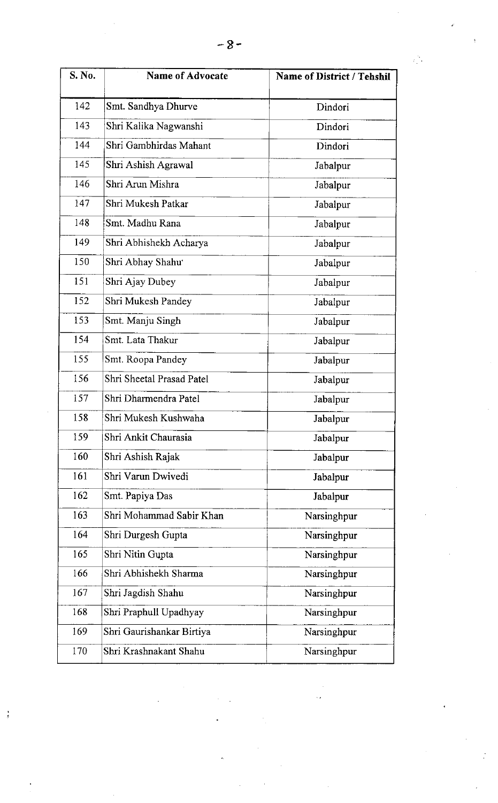| <b>S. No.</b> | <b>Name of Advocate</b>   | <b>Name of District / Tehshil</b> |
|---------------|---------------------------|-----------------------------------|
| 142           | Smt. Sandhya Dhurve       | Dindori                           |
| 143           | Shri Kalika Nagwanshi     | Dindori                           |
| 144           | Shri Gambhirdas Mahant    | Dindori                           |
| 145           | Shri Ashish Agrawal       | Jabalpur                          |
| 146           | Shri Arun Mishra          | Jabalpur                          |
| 147           | Shri Mukesh Patkar        | Jabalpur                          |
| 148           | Smt. Madhu Rana           | Jabalpur                          |
| 149           | Shri Abhishekh Acharya    | Jabalpur                          |
| 150           | Shri Abhay Shahu          | Jabalpur                          |
| 151           | Shri Ajay Dubey           | Jabalpur                          |
| 152           | Shri Mukesh Pandey        | Jabalpur                          |
| 153           | Smt. Manju Singh          | Jabalpur                          |
| 154           | Smt. Lata Thakur          | Jabalpur                          |
| 155           | Smt. Roopa Pandey         | Jabalpur                          |
| 156           | Shri Sheetal Prasad Patel | Jabalpur                          |
| 157           | Shri Dharmendra Patel     | Jabalpur                          |
| 158           | Shri Mukesh Kushwaha      | Jabalpur                          |
| 159           | Shri Ankit Chaurasia      | Jabalpur                          |
| 160           | Shri Ashish Rajak         | Jabalpur                          |
| 161           | Shri Varun Dwivedi        | Jabalpur                          |
| 162           | Smt. Papiya Das           | Jabalpur                          |
| 163           | Shri Mohammad Sabir Khan  | Narsinghpur                       |
| 164           | Shri Durgesh Gupta        | Narsinghpur                       |
| 165           | Shri Nitin Gupta          | Narsinghpur                       |
| 166           | Shri Abhishekh Sharma     | Narsinghpur                       |
| 167           | Shri Jagdish Shahu        | Narsinghpur                       |
| 168           | Shri Praphull Upadhyay    | Narsinghpur                       |
| 169           | Shri Gaurishankar Birtiya | Narsinghpur                       |
| 170           | Shri Krashnakant Shahu    | Narsinghpur                       |